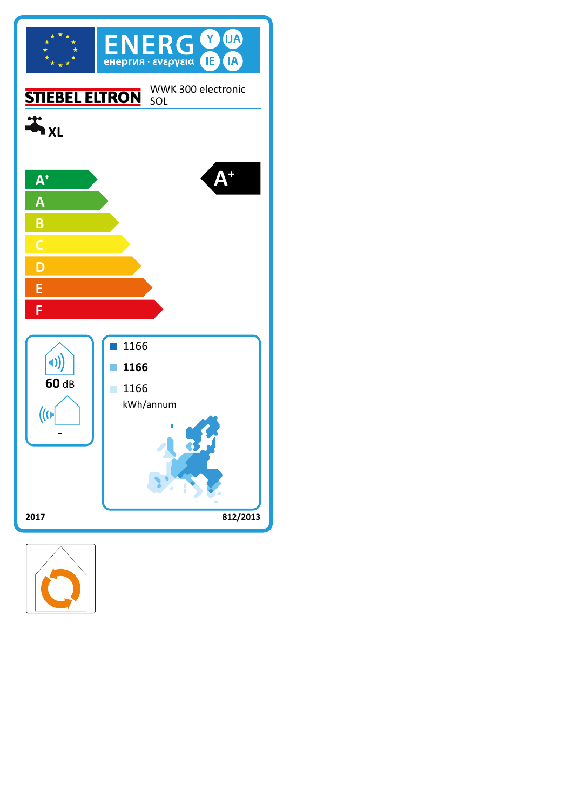